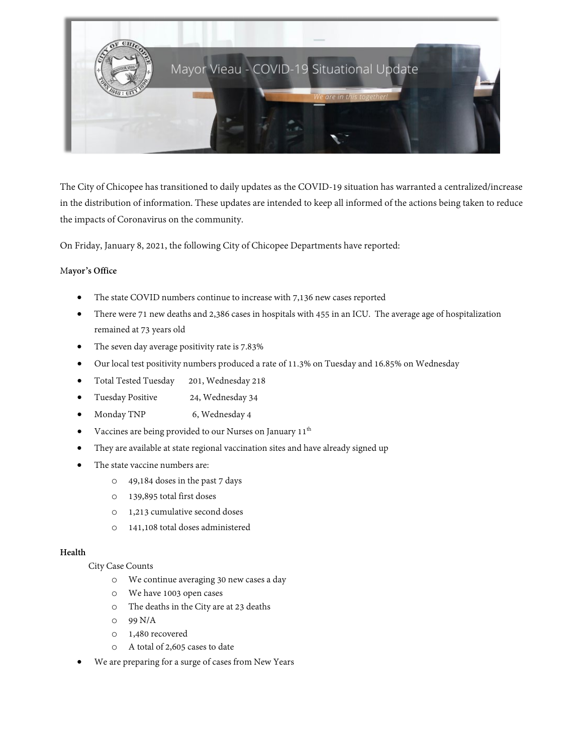

The City of Chicopee has transitioned to daily updates as the COVID-19 situation has warranted a centralized/increase in the distribution of information. These updates are intended to keep all informed of the actions being taken to reduce the impacts of Coronavirus on the community.

On Friday, January 8, 2021, the following City of Chicopee Departments have reported:

## M**ayor's Office**

- The state COVID numbers continue to increase with 7,136 new cases reported
- There were 71 new deaths and 2,386 cases in hospitals with 455 in an ICU. The average age of hospitalization remained at 73 years old
- The seven day average positivity rate is 7.83%
- Our local test positivity numbers produced a rate of 11.3% on Tuesday and 16.85% on Wednesday
- Total Tested Tuesday 201, Wednesday 218
- Tuesday Positive 24, Wednesday 34
- Monday TNP 6, Wednesday 4
- Vaccines are being provided to our Nurses on January 11<sup>th</sup>
- They are available at state regional vaccination sites and have already signed up
- The state vaccine numbers are:
	- o 49,184 doses in the past 7 days
	- o 139,895 total first doses
	- o 1,213 cumulative second doses
	- o 141,108 total doses administered

## **Health**

City Case Counts

- o We continue averaging 30 new cases a day
- o We have 1003 open cases
- o The deaths in the City are at 23 deaths
- o 99 N/A
- o 1,480 recovered
- o A total of 2,605 cases to date
- We are preparing for a surge of cases from New Years